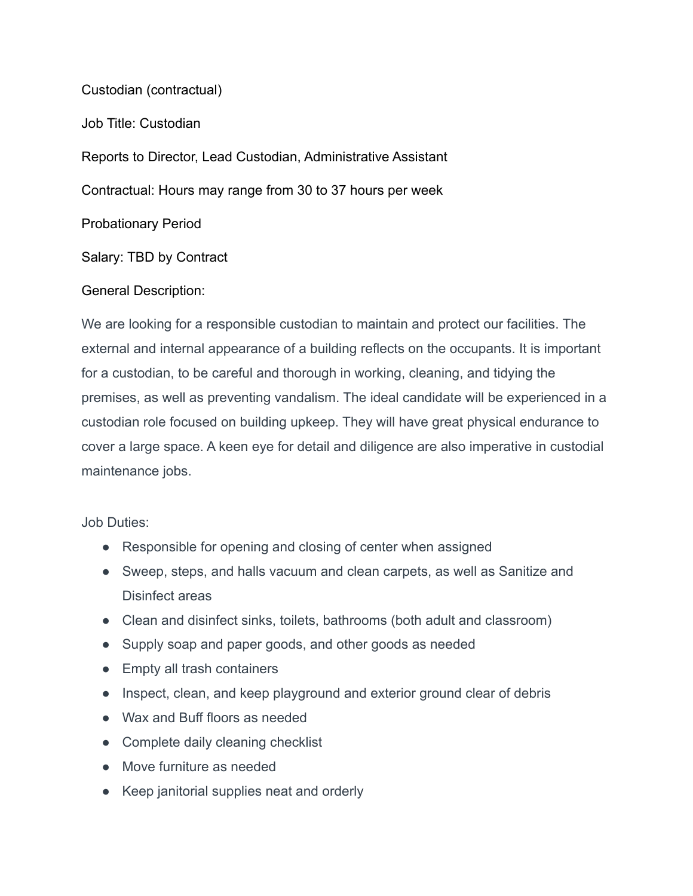Custodian (contractual) Job Title: Custodian Reports to Director, Lead Custodian, Administrative Assistant Contractual: Hours may range from 30 to 37 hours per week Probationary Period Salary: TBD by Contract

## General Description:

We are looking for a responsible custodian to maintain and protect our facilities. The external and internal appearance of a building reflects on the occupants. It is important for a custodian, to be careful and thorough in working, cleaning, and tidying the premises, as well as preventing vandalism. The ideal candidate will be experienced in a custodian role focused on building upkeep. They will have great physical endurance to cover a large space. A keen eye for detail and diligence are also imperative in custodial maintenance jobs.

## Job Duties:

- Responsible for opening and closing of center when assigned
- Sweep, steps, and halls vacuum and clean carpets, as well as Sanitize and Disinfect areas
- Clean and disinfect sinks, toilets, bathrooms (both adult and classroom)
- Supply soap and paper goods, and other goods as needed
- Empty all trash containers
- Inspect, clean, and keep playground and exterior ground clear of debris
- Wax and Buff floors as needed
- Complete daily cleaning checklist
- Move furniture as needed
- Keep janitorial supplies neat and orderly